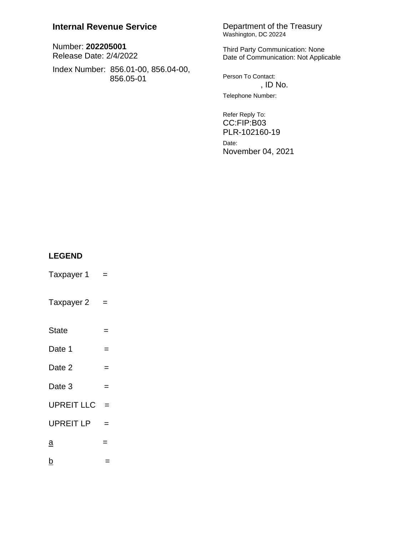## **Internal Revenue Service**

Number: 202205001 Release Date: 2/4/2022

Index Number: 856.01-00, 856.04-00, 856.05-01

# Department of the Treasury<br>Washington, DC 20224

Third Party Communication: None Date of Communication: Not Applicable

Person To Contact: , ID No. Telephone Number:

Refer Reply To: CC:FIP:B03 PLR-102160-19 Date: November 04, 2021

## **LEGEND**

- Taxpayer 1  $\equiv$
- Taxpayer 2  $\equiv$
- State  $\qquad \qquad =$
- Date 1  $\equiv$
- Date 2  $\equiv$
- Date 3  $\equiv$
- UPREIT LLC  $=$
- UPREIT LP  $=$
- $\underline{a}$  $=$
- $\underline{b}$  $\equiv$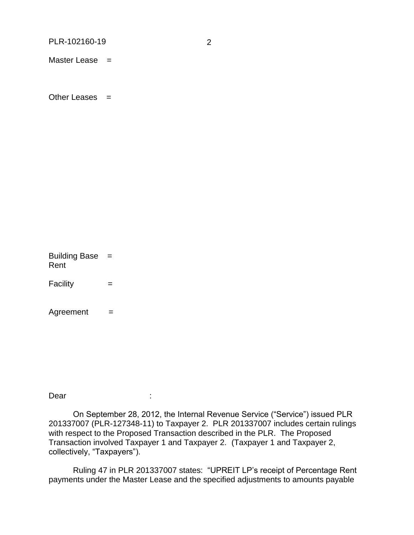PLR-102160-19

Master Lease  $=$ 

Other Leases  $=$ 

Building Base = Rent

Facility  $\equiv$ 

Agreement  $=$ 

Dear

÷

On September 28, 2012, the Internal Revenue Service ("Service") issued PLR 201337007 (PLR-127348-11) to Taxpayer 2. PLR 201337007 includes certain rulings with respect to the Proposed Transaction described in the PLR. The Proposed Transaction involved Taxpayer 1 and Taxpayer 2. (Taxpayer 1 and Taxpayer 2, collectively, "Taxpayers").

Ruling 47 in PLR 201337007 states: "UPREIT LP's receipt of Percentage Rent payments under the Master Lease and the specified adjustments to amounts payable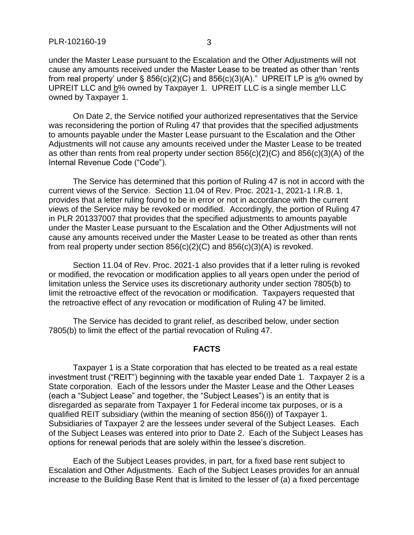under the Master Lease pursuant to the Escalation and the Other Adjustments will not cause any amounts received under the Master Lease to be treated as other than 'rents from real property' under § 856(c)(2)(C) and 856(c)(3)(A)." UPREIT LP is  $a\%$  owned by UPREIT LLC and b% owned by Taxpayer 1. UPREIT LLC is a single member LLC owned by Taxpayer 1.

On Date 2, the Service notified your authorized representatives that the Service was reconsidering the portion of Ruling 47 that provides that the specified adjustments to amounts payable under the Master Lease pursuant to the Escalation and the Other Adjustments will not cause any amounts received under the Master Lease to be treated as other than rents from real property under section 856(c)(2)(C) and 856(c)(3)(A) of the Internal Revenue Code ("Code").

The Service has determined that this portion of Ruling 47 is not in accord with the current views of the Service. Section 11.04 of Rev. Proc. 2021-1, 2021-1 I.R.B. 1, provides that a letter ruling found to be in error or not in accordance with the current views of the Service may be revoked or modified. Accordingly, the portion of Ruling 47 in PLR 201337007 that provides that the specified adjustments to amounts payable under the Master Lease pursuant to the Escalation and the Other Adjustments will not cause any amounts received under the Master Lease to be treated as other than rents from real property under section  $856(c)(2)(C)$  and  $856(c)(3)(A)$  is revoked.

Section 11.04 of Rev. Proc. 2021-1 also provides that if a letter ruling is revoked or modified, the revocation or modification applies to all years open under the period of limitation unless the Service uses its discretionary authority under section 7805(b) to limit the retroactive effect of the revocation or modification. Taxpayers requested that the retroactive effect of any revocation or modification of Ruling 47 be limited.

The Service has decided to grant relief, as described below, under section 7805(b) to limit the effect of the partial revocation of Ruling 47.

#### **FACTS**

Taxpayer 1 is a State corporation that has elected to be treated as a real estate investment trust ("REIT") beginning with the taxable year ended Date 1. Taxpayer 2 is a State corporation. Each of the lessors under the Master Lease and the Other Leases (each a "Subject Lease" and together, the "Subject Leases") is an entity that is disregarded as separate from Taxpayer 1 for Federal income tax purposes, or is a qualified REIT subsidiary (within the meaning of section 856(i)) of Taxpayer 1. Subsidiaries of Taxpayer 2 are the lessees under several of the Subject Leases. Each of the Subject Leases was entered into prior to Date 2. Each of the Subject Leases has options for renewal periods that are solely within the lessee's discretion.

Each of the Subject Leases provides, in part, for a fixed base rent subject to Escalation and Other Adjustments. Each of the Subject Leases provides for an annual increase to the Building Base Rent that is limited to the lesser of (a) a fixed percentage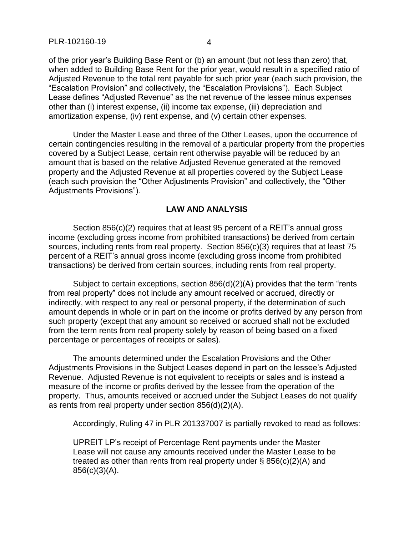of the prior year's Building Base Rent or (b) an amount (but not less than zero) that, when added to Building Base Rent for the prior year, would result in a specified ratio of Adjusted Revenue to the total rent payable for such prior year (each such provision, the "Escalation Provision" and collectively, the "Escalation Provisions"). Each Subject Lease defines "Adjusted Revenue" as the net revenue of the lessee minus expenses other than (i) interest expense, (ii) income tax expense, (iii) depreciation and amortization expense, (iv) rent expense, and (v) certain other expenses.

Under the Master Lease and three of the Other Leases, upon the occurrence of certain contingencies resulting in the removal of a particular property from the properties covered by a Subject Lease, certain rent otherwise payable will be reduced by an amount that is based on the relative Adjusted Revenue generated at the removed property and the Adjusted Revenue at all properties covered by the Subject Lease (each such provision the "Other Adjustments Provision" and collectively, the "Other Adjustments Provisions").

### **LAW AND ANALYSIS**

Section 856(c)(2) requires that at least 95 percent of a REIT's annual gross income (excluding gross income from prohibited transactions) be derived from certain sources, including rents from real property. Section 856(c)(3) requires that at least 75 percent of a REIT's annual gross income (excluding gross income from prohibited transactions) be derived from certain sources, including rents from real property.

Subject to certain exceptions, section 856(d)(2)(A) provides that the term "rents from real property" does not include any amount received or accrued, directly or indirectly, with respect to any real or personal property, if the determination of such amount depends in whole or in part on the income or profits derived by any person from such property (except that any amount so received or accrued shall not be excluded from the term rents from real property solely by reason of being based on a fixed percentage or percentages of receipts or sales).

The amounts determined under the Escalation Provisions and the Other Adjustments Provisions in the Subject Leases depend in part on the lessee's Adjusted Revenue. Adjusted Revenue is not equivalent to receipts or sales and is instead a measure of the income or profits derived by the lessee from the operation of the property. Thus, amounts received or accrued under the Subject Leases do not qualify as rents from real property under section 856(d)(2)(A).

Accordingly, Ruling 47 in PLR 201337007 is partially revoked to read as follows:

UPREIT LP's receipt of Percentage Rent payments under the Master Lease will not cause any amounts received under the Master Lease to be treated as other than rents from real property under § 856(c)(2)(A) and 856(c)(3)(A).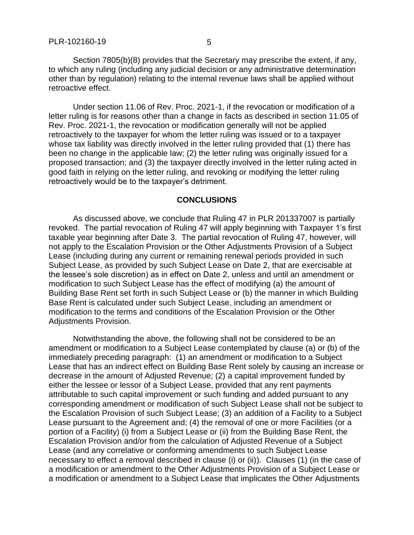Section 7805(b)(8) provides that the Secretary may prescribe the extent, if any, to which any ruling (including any judicial decision or any administrative determination other than by regulation) relating to the internal revenue laws shall be applied without retroactive effect.

Under section 11.06 of Rev. Proc. 2021-1, if the revocation or modification of a letter ruling is for reasons other than a change in facts as described in section 11.05 of Rev. Proc. 2021-1, the revocation or modification generally will not be applied retroactively to the taxpayer for whom the letter ruling was issued or to a taxpayer whose tax liability was directly involved in the letter ruling provided that (1) there has been no change in the applicable law; (2) the letter ruling was originally issued for a proposed transaction; and (3) the taxpayer directly involved in the letter ruling acted in good faith in relying on the letter ruling, and revoking or modifying the letter ruling retroactively would be to the taxpayer's detriment.

#### **CONCLUSIONS**

As discussed above, we conclude that Ruling 47 in PLR 201337007 is partially revoked. The partial revocation of Ruling 47 will apply beginning with Taxpayer 1's first taxable year beginning after Date 3. The partial revocation of Ruling 47, however, will not apply to the Escalation Provision or the Other Adjustments Provision of a Subject Lease (including during any current or remaining renewal periods provided in such Subject Lease, as provided by such Subject Lease on Date 2, that are exercisable at the lessee's sole discretion) as in effect on Date 2, unless and until an amendment or modification to such Subject Lease has the effect of modifying (a) the amount of Building Base Rent set forth in such Subject Lease or (b) the manner in which Building Base Rent is calculated under such Subject Lease, including an amendment or modification to the terms and conditions of the Escalation Provision or the Other Adjustments Provision.

Notwithstanding the above, the following shall not be considered to be an amendment or modification to a Subject Lease contemplated by clause (a) or (b) of the immediately preceding paragraph: (1) an amendment or modification to a Subject Lease that has an indirect effect on Building Base Rent solely by causing an increase or decrease in the amount of Adjusted Revenue; (2) a capital improvement funded by either the lessee or lessor of a Subject Lease, provided that any rent payments attributable to such capital improvement or such funding and added pursuant to any corresponding amendment or modification of such Subject Lease shall not be subject to the Escalation Provision of such Subject Lease; (3) an addition of a Facility to a Subject Lease pursuant to the Agreement and; (4) the removal of one or more Facilities (or a portion of a Facility) (i) from a Subject Lease or (ii) from the Building Base Rent, the Escalation Provision and/or from the calculation of Adjusted Revenue of a Subject Lease (and any correlative or conforming amendments to such Subject Lease necessary to effect a removal described in clause (i) or (ii)). Clauses (1) (in the case of a modification or amendment to the Other Adjustments Provision of a Subject Lease or a modification or amendment to a Subject Lease that implicates the Other Adjustments